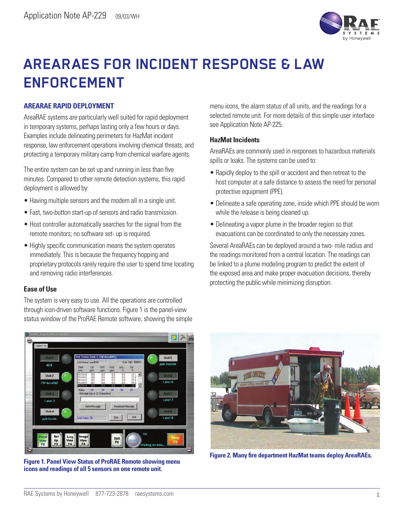

# **AREARAES FOR INCIDENT RESPONSE & LAW ENFORCEMENT**

### **AREARAE RAPID DEPLOYMENT**

AreaRAE systems are particularly well suited for rapid deployment in temporary systems, perhaps lasting only a few hours or days. Examples include delineating perimeters for HazMat incident response, law enforcement operations involving chemical threats, and protecting a temporary military camp from chemical warfare agents.

The entire system can be set up and running in less than five minutes. Compared to other remote detection systems, this rapid deployment is allowed by:

- Having multiple sensors and the modem all in a single unit.
- Fast, two-button start-up of sensors and radio transmission.
- Host controller automatically searches for the signal from the remote monitors; no software set- up is required.
- Highly specific communication means the system operates immediately. This is because the frequency hopping and proprietary protocols rarely require the user to spend time locating and removing radio interferences.

#### **Ease of Use**

The system is very easy to use. All the operations are controlled through icon-driven software functions. Figure 1 is the panel-view status window of the ProRAE Remote software, showing the simple menu icons, the alarm status of all units, and the readings for a selected remote unit. For more details of this simple user interface see Application Note AP-225.

#### **HazMat Incidents**

AreaRAEs are commonly used in responses to hazardous materials spills or leaks. The systems can be used to:

- Rapidly deploy to the spill or accident and then retreat to the host computer at a safe distance to assess the need for personal protective equipment (PPE).
- Delineate a safe operating zone, inside which PPE should be worn while the release is being cleaned up.
- Delineating a vapor plume in the broader region so that evacuations can be coordinated to only the necessary zones.

Several AreaRAEs can be deployed around a two- mile radius and the readings monitored from a central location. The readings can be linked to a plume modeling program to predict the extent of the exposed area and make proper evacuation decisions, thereby protecting the public while minimizing disruption.



**Figure 1. Panel View Status of ProRAE Remote showing menu icons and readings of all 5 sensors on one remote unit.**



**Figure 2. Many fire department HazMat teams deploy AreaRAEs.**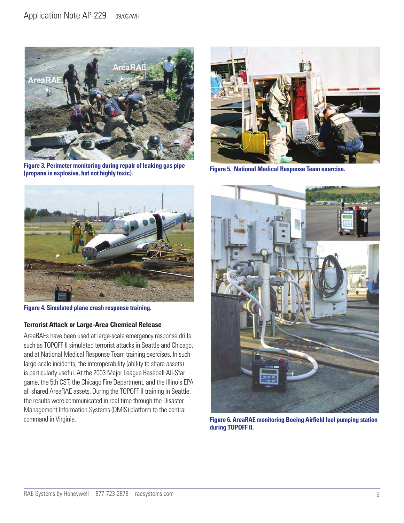

**Figure 3. Perimeter monitoring during repair of leaking gas pipe (propane is explosive, but not highly toxic).**



**Figure 5. National Medical Response Team exercise.**



**Figure 4. Simulated plane crash response training.**

## **Terrorist Attack or Large-Area Chemical Release**

AreaRAEs have been used at large-scale emergency response drills such as TOPOFF II simulated terrorist attacks in Seattle and Chicago, and at National Medical Response Team training exercises. In such large-scale incidents, the interoperability (ability to share assets) is particularly useful. At the 2003 Major League Baseball All-Star game, the 5th CST, the Chicago Fire Department, and the Illinois EPA all shared AreaRAE assets. During the TOPOFF II training in Seattle, the results were communicated in real time through the Disaster Management Information Systems (DMIS) platform to the central command in Virginia.



**Figure 6. AreaRAE monitoring Boeing Airfield fuel pumping station during TOPOFF II.**